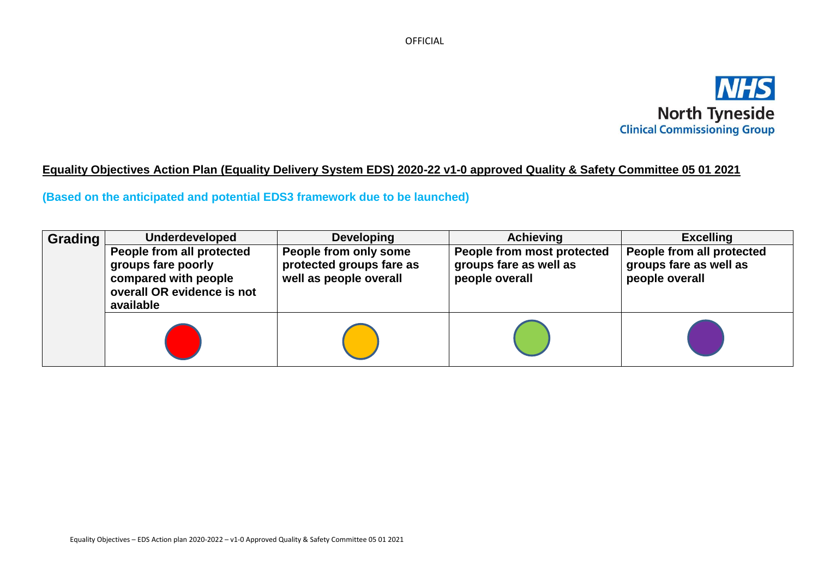

# **Equality Objectives Action Plan (Equality Delivery System EDS) 2020-22 v1-0 approved Quality & Safety Committee 05 01 2021**

# **(Based on the anticipated and potential EDS3 framework due to be launched)**

| Grading | <b>Underdeveloped</b>                                                                                              | <b>Developing</b>                                                           | <b>Achieving</b>                                                       | <b>Excelling</b>                                                      |
|---------|--------------------------------------------------------------------------------------------------------------------|-----------------------------------------------------------------------------|------------------------------------------------------------------------|-----------------------------------------------------------------------|
|         | People from all protected<br>groups fare poorly<br>compared with people<br>overall OR evidence is not<br>available | People from only some<br>protected groups fare as<br>well as people overall | People from most protected<br>groups fare as well as<br>people overall | People from all protected<br>groups fare as well as<br>people overall |
|         |                                                                                                                    |                                                                             |                                                                        |                                                                       |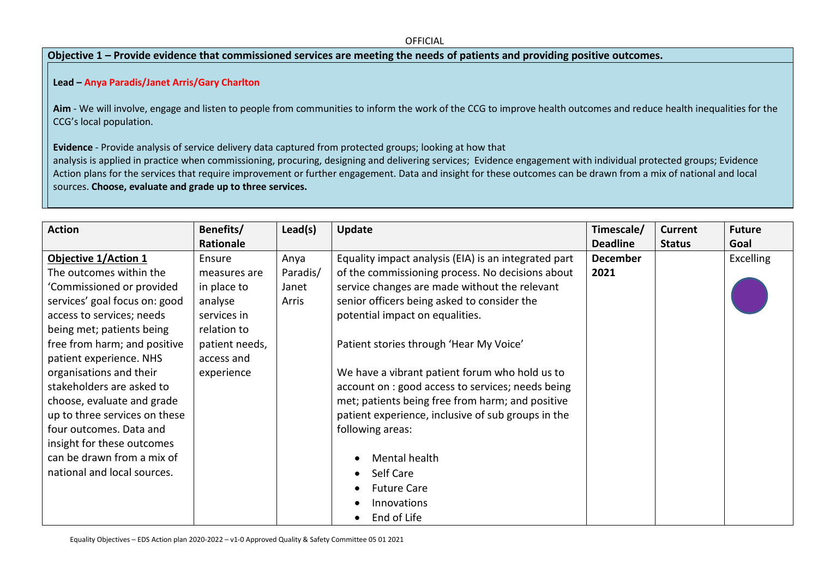## **Objective 1 – Provide evidence that commissioned services are meeting the needs of patients and providing positive outcomes.**

## **Lead – Anya Paradis/Janet Arris/Gary Charlton**

Aim - We will involve, engage and listen to people from communities to inform the work of the CCG to improve health outcomes and reduce health inequalities for the CCG's local population.

**Evidence** - Provide analysis of service delivery data captured from protected groups; looking at how that

analysis is applied in practice when commissioning, procuring, designing and delivering services; Evidence engagement with individual protected groups; Evidence Action plans for the services that require improvement or further engagement. Data and insight for these outcomes can be drawn from a mix of national and local sources. **Choose, evaluate and grade up to three services.**

| <b>Action</b>                 | Benefits/<br>Rationale | Lead(s)  | Update                                               | Timescale/<br><b>Deadline</b> | <b>Current</b><br><b>Status</b> | <b>Future</b><br>Goal |
|-------------------------------|------------------------|----------|------------------------------------------------------|-------------------------------|---------------------------------|-----------------------|
| <b>Objective 1/Action 1</b>   | Ensure                 | Anya     | Equality impact analysis (EIA) is an integrated part | <b>December</b>               |                                 | <b>Excelling</b>      |
| The outcomes within the       | measures are           | Paradis/ | of the commissioning process. No decisions about     | 2021                          |                                 |                       |
| 'Commissioned or provided     | in place to            | Janet    | service changes are made without the relevant        |                               |                                 |                       |
| services' goal focus on: good | analyse                | Arris    | senior officers being asked to consider the          |                               |                                 |                       |
| access to services; needs     | services in            |          | potential impact on equalities.                      |                               |                                 |                       |
| being met; patients being     | relation to            |          |                                                      |                               |                                 |                       |
| free from harm; and positive  | patient needs,         |          | Patient stories through 'Hear My Voice'              |                               |                                 |                       |
| patient experience. NHS       | access and             |          |                                                      |                               |                                 |                       |
| organisations and their       | experience             |          | We have a vibrant patient forum who hold us to       |                               |                                 |                       |
| stakeholders are asked to     |                        |          | account on : good access to services; needs being    |                               |                                 |                       |
| choose, evaluate and grade    |                        |          | met; patients being free from harm; and positive     |                               |                                 |                       |
| up to three services on these |                        |          | patient experience, inclusive of sub groups in the   |                               |                                 |                       |
| four outcomes. Data and       |                        |          | following areas:                                     |                               |                                 |                       |
| insight for these outcomes    |                        |          |                                                      |                               |                                 |                       |
| can be drawn from a mix of    |                        |          | Mental health                                        |                               |                                 |                       |
| national and local sources.   |                        |          | Self Care<br>$\bullet$                               |                               |                                 |                       |
|                               |                        |          | <b>Future Care</b>                                   |                               |                                 |                       |
|                               |                        |          | Innovations                                          |                               |                                 |                       |
|                               |                        |          | End of Life<br>$\bullet$                             |                               |                                 |                       |

Equality Objectives – EDS Action plan 2020-2022 – v1-0 Approved Quality & Safety Committee 05 01 2021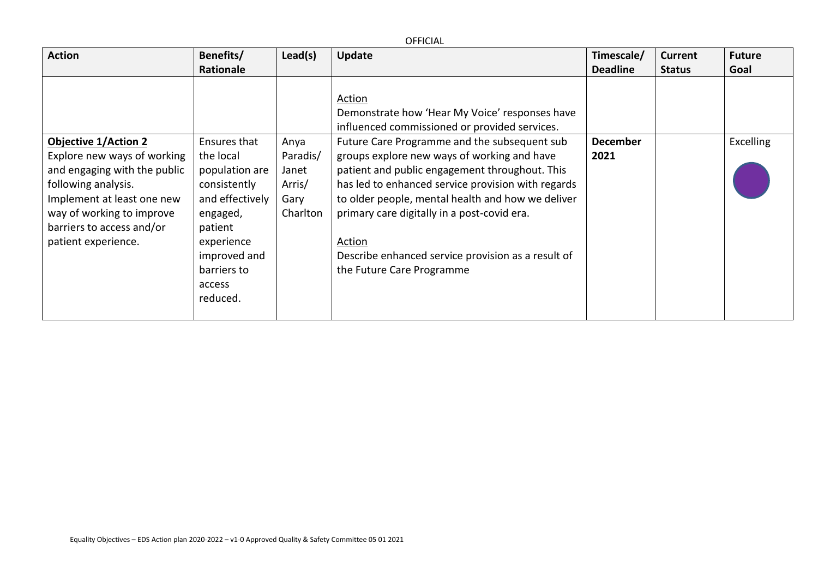|                                                                                                                                                                                                                                  |                                                                                                                                                                          |                                                         | <b>OFFICIAL</b>                                                                                                                                                                                                                                                                                                                                                                                                                                                                                                   |                         |                |                  |
|----------------------------------------------------------------------------------------------------------------------------------------------------------------------------------------------------------------------------------|--------------------------------------------------------------------------------------------------------------------------------------------------------------------------|---------------------------------------------------------|-------------------------------------------------------------------------------------------------------------------------------------------------------------------------------------------------------------------------------------------------------------------------------------------------------------------------------------------------------------------------------------------------------------------------------------------------------------------------------------------------------------------|-------------------------|----------------|------------------|
| <b>Action</b>                                                                                                                                                                                                                    | Benefits/                                                                                                                                                                | Lead(s)                                                 | <b>Update</b>                                                                                                                                                                                                                                                                                                                                                                                                                                                                                                     | Timescale/              | <b>Current</b> | <b>Future</b>    |
|                                                                                                                                                                                                                                  | Rationale                                                                                                                                                                |                                                         |                                                                                                                                                                                                                                                                                                                                                                                                                                                                                                                   | <b>Deadline</b>         | <b>Status</b>  | Goal             |
| <b>Objective 1/Action 2</b><br>Explore new ways of working<br>and engaging with the public<br>following analysis.<br>Implement at least one new<br>way of working to improve<br>barriers to access and/or<br>patient experience. | Ensures that<br>the local<br>population are<br>consistently<br>and effectively<br>engaged,<br>patient<br>experience<br>improved and<br>barriers to<br>access<br>reduced. | Anya<br>Paradis/<br>Janet<br>Arris/<br>Gary<br>Charlton | Action<br>Demonstrate how 'Hear My Voice' responses have<br>influenced commissioned or provided services.<br>Future Care Programme and the subsequent sub<br>groups explore new ways of working and have<br>patient and public engagement throughout. This<br>has led to enhanced service provision with regards<br>to older people, mental health and how we deliver<br>primary care digitally in a post-covid era.<br>Action<br>Describe enhanced service provision as a result of<br>the Future Care Programme | <b>December</b><br>2021 |                | <b>Excelling</b> |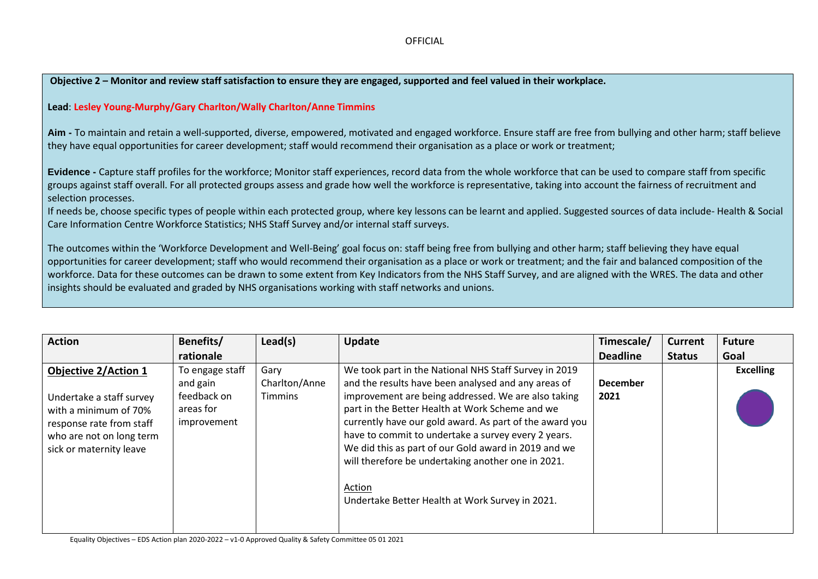### **Objective 2 – Monitor and review staff satisfaction to ensure they are engaged, supported and feel valued in their workplace.**

#### **Lead**: **Lesley Young-Murphy/Gary Charlton/Wally Charlton/Anne Timmins**

**Aim -** To maintain and retain a well-supported, diverse, empowered, motivated and engaged workforce. Ensure staff are free from bullying and other harm; staff believe they have equal opportunities for career development; staff would recommend their organisation as a place or work or treatment;

**Evidence -** Capture staff profiles for the workforce; Monitor staff experiences, record data from the whole workforce that can be used to compare staff from specific groups against staff overall. For all protected groups assess and grade how well the workforce is representative, taking into account the fairness of recruitment and selection processes.

If needs be, choose specific types of people within each protected group, where key lessons can be learnt and applied. Suggested sources of data include- Health & Social Care Information Centre Workforce Statistics; NHS Staff Survey and/or internal staff surveys.

The outcomes within the 'Workforce Development and Well-Being' goal focus on: staff being free from bullying and other harm; staff believing they have equal opportunities for career development; staff who would recommend their organisation as a place or work or treatment; and the fair and balanced composition of the workforce. Data for these outcomes can be drawn to some extent from Key Indicators from the NHS Staff Survey, and are aligned with the WRES. The data and other insights should be evaluated and graded by NHS organisations working with staff networks and unions.

| <b>Action</b>               | Benefits/       | Lead(s)        | <b>Update</b>                                           | Timescale/      | <b>Current</b> | <b>Future</b>    |
|-----------------------------|-----------------|----------------|---------------------------------------------------------|-----------------|----------------|------------------|
|                             | rationale       |                |                                                         | <b>Deadline</b> | <b>Status</b>  | Goal             |
| <b>Objective 2/Action 1</b> | To engage staff | Gary           | We took part in the National NHS Staff Survey in 2019   |                 |                | <b>Excelling</b> |
|                             | and gain        | Charlton/Anne  | and the results have been analysed and any areas of     | <b>December</b> |                |                  |
| Undertake a staff survey    | feedback on     | <b>Timmins</b> | improvement are being addressed. We are also taking     | 2021            |                |                  |
| with a minimum of 70%       | areas for       |                | part in the Better Health at Work Scheme and we         |                 |                |                  |
| response rate from staff    | improvement     |                | currently have our gold award. As part of the award you |                 |                |                  |
| who are not on long term    |                 |                | have to commit to undertake a survey every 2 years.     |                 |                |                  |
| sick or maternity leave     |                 |                | We did this as part of our Gold award in 2019 and we    |                 |                |                  |
|                             |                 |                | will therefore be undertaking another one in 2021.      |                 |                |                  |
|                             |                 |                |                                                         |                 |                |                  |
|                             |                 |                | Action                                                  |                 |                |                  |
|                             |                 |                | Undertake Better Health at Work Survey in 2021.         |                 |                |                  |
|                             |                 |                |                                                         |                 |                |                  |
|                             |                 |                |                                                         |                 |                |                  |

Equality Objectives – EDS Action plan 2020-2022 – v1-0 Approved Quality & Safety Committee 05 01 2021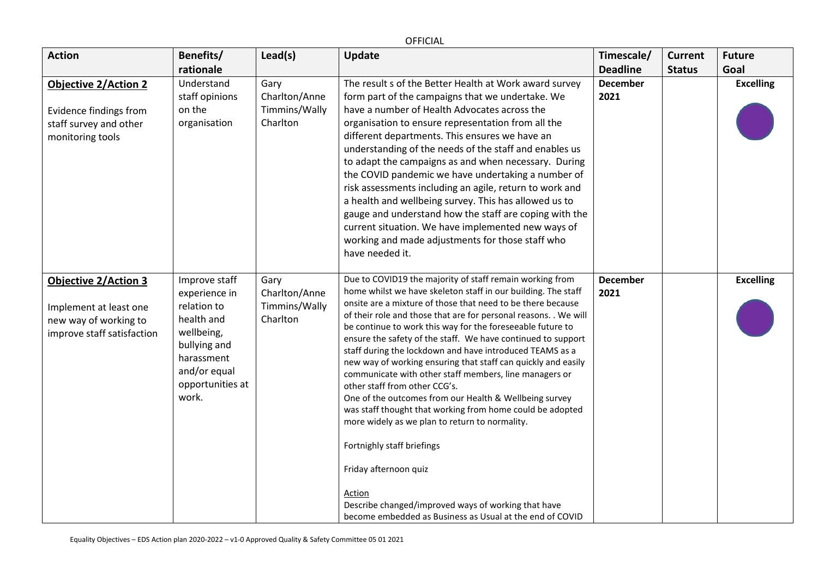|                                                                                                              |                                                                                                                                                      |                                                    | <b>OFFICIAL</b>                                                                                                                                                                                                                                                                                                                                                                                                                                                                                                                                                                                                                                                                                                                                                                                                                                                                                                                                                                 |                               |                                 |                       |
|--------------------------------------------------------------------------------------------------------------|------------------------------------------------------------------------------------------------------------------------------------------------------|----------------------------------------------------|---------------------------------------------------------------------------------------------------------------------------------------------------------------------------------------------------------------------------------------------------------------------------------------------------------------------------------------------------------------------------------------------------------------------------------------------------------------------------------------------------------------------------------------------------------------------------------------------------------------------------------------------------------------------------------------------------------------------------------------------------------------------------------------------------------------------------------------------------------------------------------------------------------------------------------------------------------------------------------|-------------------------------|---------------------------------|-----------------------|
| <b>Action</b>                                                                                                | Benefits/<br>rationale                                                                                                                               | Lead(s)                                            | Update                                                                                                                                                                                                                                                                                                                                                                                                                                                                                                                                                                                                                                                                                                                                                                                                                                                                                                                                                                          | Timescale/<br><b>Deadline</b> | <b>Current</b><br><b>Status</b> | <b>Future</b><br>Goal |
| <b>Objective 2/Action 2</b><br>Evidence findings from<br>staff survey and other<br>monitoring tools          | Understand<br>staff opinions<br>on the<br>organisation                                                                                               | Gary<br>Charlton/Anne<br>Timmins/Wally<br>Charlton | The result s of the Better Health at Work award survey<br>form part of the campaigns that we undertake. We<br>have a number of Health Advocates across the<br>organisation to ensure representation from all the<br>different departments. This ensures we have an<br>understanding of the needs of the staff and enables us<br>to adapt the campaigns as and when necessary. During<br>the COVID pandemic we have undertaking a number of<br>risk assessments including an agile, return to work and<br>a health and wellbeing survey. This has allowed us to<br>gauge and understand how the staff are coping with the<br>current situation. We have implemented new ways of<br>working and made adjustments for those staff who<br>have needed it.                                                                                                                                                                                                                           | <b>December</b><br>2021       |                                 | <b>Excelling</b>      |
| <b>Objective 2/Action 3</b><br>Implement at least one<br>new way of working to<br>improve staff satisfaction | Improve staff<br>experience in<br>relation to<br>health and<br>wellbeing,<br>bullying and<br>harassment<br>and/or equal<br>opportunities at<br>work. | Gary<br>Charlton/Anne<br>Timmins/Wally<br>Charlton | Due to COVID19 the majority of staff remain working from<br>home whilst we have skeleton staff in our building. The staff<br>onsite are a mixture of those that need to be there because<br>of their role and those that are for personal reasons. . We will<br>be continue to work this way for the foreseeable future to<br>ensure the safety of the staff. We have continued to support<br>staff during the lockdown and have introduced TEAMS as a<br>new way of working ensuring that staff can quickly and easily<br>communicate with other staff members, line managers or<br>other staff from other CCG's.<br>One of the outcomes from our Health & Wellbeing survey<br>was staff thought that working from home could be adopted<br>more widely as we plan to return to normality.<br>Fortnighly staff briefings<br>Friday afternoon quiz<br>Action<br>Describe changed/improved ways of working that have<br>become embedded as Business as Usual at the end of COVID | <b>December</b><br>2021       |                                 | <b>Excelling</b>      |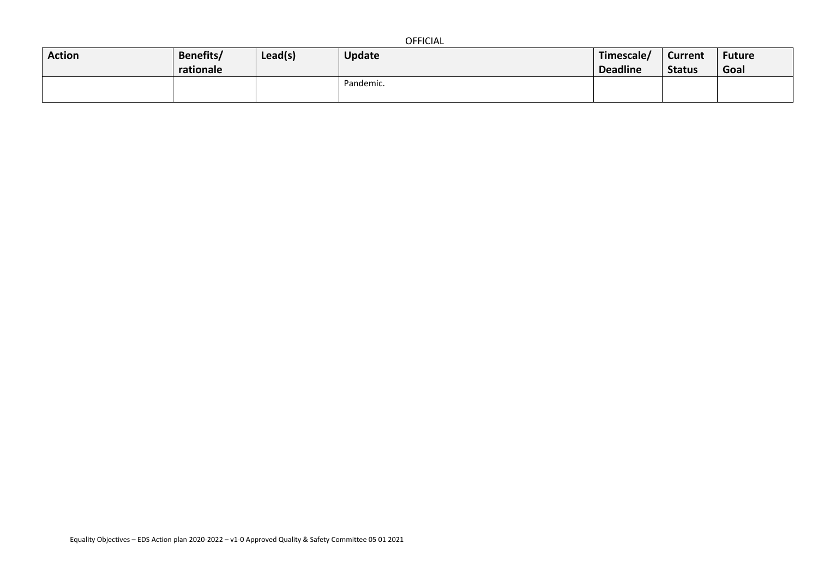|--|

| <b>Action</b> | Benefits/<br>rationale | Lead(s) | <b>Update</b> | Timescale/<br><b>Deadline</b> | <b>Current</b><br><b>Status</b> | Future<br>Goal |
|---------------|------------------------|---------|---------------|-------------------------------|---------------------------------|----------------|
|               |                        |         | Pandemic.     |                               |                                 |                |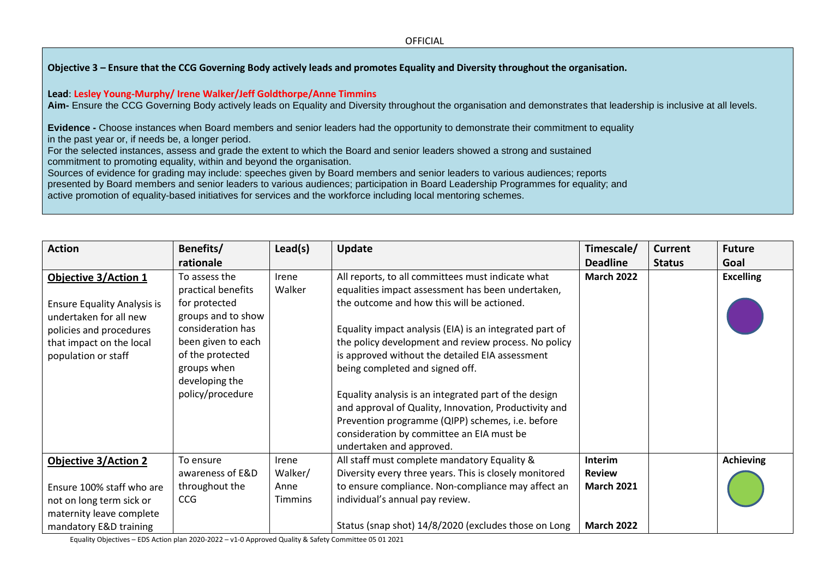#### **Objective 3 – Ensure that the CCG Governing Body actively leads and promotes Equality and Diversity throughout the organisation.**

#### **Lead**: **Lesley Young-Murphy/ Irene Walker/Jeff Goldthorpe/Anne Timmins**

**Aim-** Ensure the CCG Governing Body actively leads on Equality and Diversity throughout the organisation and demonstrates that leadership is inclusive at all levels.

**Evidence -** Choose instances when Board members and senior leaders had the opportunity to demonstrate their commitment to equality in the past year or, if needs be, a longer period.

For the selected instances, assess and grade the extent to which the Board and senior leaders showed a strong and sustained commitment to promoting equality, within and beyond the organisation.

Sources of evidence for grading may include: speeches given by Board members and senior leaders to various audiences; reports presented by Board members and senior leaders to various audiences; participation in Board Leadership Programmes for equality; and active promotion of equality-based initiatives for services and the workforce including local mentoring schemes.

| <b>Action</b>                                                                                                                                                             | Benefits/                                                                                                                                                                                      | Lead(s)          | <b>Update</b>                                                                                                                                                                                                                                                                                                                                                                                                                                                                                                                                                                    | Timescale/               | Current       | <b>Future</b>    |
|---------------------------------------------------------------------------------------------------------------------------------------------------------------------------|------------------------------------------------------------------------------------------------------------------------------------------------------------------------------------------------|------------------|----------------------------------------------------------------------------------------------------------------------------------------------------------------------------------------------------------------------------------------------------------------------------------------------------------------------------------------------------------------------------------------------------------------------------------------------------------------------------------------------------------------------------------------------------------------------------------|--------------------------|---------------|------------------|
|                                                                                                                                                                           | rationale                                                                                                                                                                                      |                  |                                                                                                                                                                                                                                                                                                                                                                                                                                                                                                                                                                                  | <b>Deadline</b>          | <b>Status</b> | Goal             |
| <b>Objective 3/Action 1</b><br><b>Ensure Equality Analysis is</b><br>undertaken for all new<br>policies and procedures<br>that impact on the local<br>population or staff | To assess the<br>practical benefits<br>for protected<br>groups and to show<br>consideration has<br>been given to each<br>of the protected<br>groups when<br>developing the<br>policy/procedure | Irene<br>Walker  | All reports, to all committees must indicate what<br>equalities impact assessment has been undertaken,<br>the outcome and how this will be actioned.<br>Equality impact analysis (EIA) is an integrated part of<br>the policy development and review process. No policy<br>is approved without the detailed EIA assessment<br>being completed and signed off.<br>Equality analysis is an integrated part of the design<br>and approval of Quality, Innovation, Productivity and<br>Prevention programme (QIPP) schemes, i.e. before<br>consideration by committee an EIA must be | <b>March 2022</b>        |               | <b>Excelling</b> |
|                                                                                                                                                                           |                                                                                                                                                                                                |                  | undertaken and approved.                                                                                                                                                                                                                                                                                                                                                                                                                                                                                                                                                         |                          |               |                  |
| <b>Objective 3/Action 2</b>                                                                                                                                               | To ensure<br>awareness of E&D                                                                                                                                                                  | Irene<br>Walker/ | All staff must complete mandatory Equality &<br>Diversity every three years. This is closely monitored                                                                                                                                                                                                                                                                                                                                                                                                                                                                           | Interim<br><b>Review</b> |               | <b>Achieving</b> |
| Ensure 100% staff who are                                                                                                                                                 | throughout the                                                                                                                                                                                 | Anne             | to ensure compliance. Non-compliance may affect an                                                                                                                                                                                                                                                                                                                                                                                                                                                                                                                               | <b>March 2021</b>        |               |                  |
| not on long term sick or<br>maternity leave complete                                                                                                                      | <b>CCG</b>                                                                                                                                                                                     | <b>Timmins</b>   | individual's annual pay review.                                                                                                                                                                                                                                                                                                                                                                                                                                                                                                                                                  |                          |               |                  |
| mandatory E&D training                                                                                                                                                    |                                                                                                                                                                                                |                  | Status (snap shot) 14/8/2020 (excludes those on Long                                                                                                                                                                                                                                                                                                                                                                                                                                                                                                                             | <b>March 2022</b>        |               |                  |

Equality Objectives – EDS Action plan 2020-2022 – v1-0 Approved Quality & Safety Committee 05 01 2021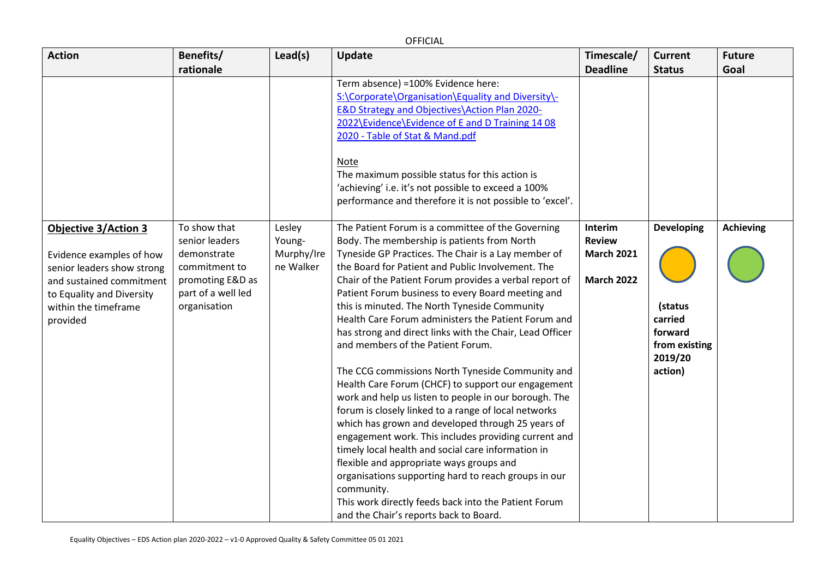OFFICIAL

| <b>Action</b>                                                                                                                                                                      | Benefits/                                                                                                                | Lead(s)                                     | <b>Update</b>                                                                                                                                                                                                                                                                                                                                                                                                                                                                                                                                                                                                                                                                                                                                                                                                                                                                                                                                                                  | Timescale/                                                         | <b>Current</b>                                                                            | <b>Future</b>    |
|------------------------------------------------------------------------------------------------------------------------------------------------------------------------------------|--------------------------------------------------------------------------------------------------------------------------|---------------------------------------------|--------------------------------------------------------------------------------------------------------------------------------------------------------------------------------------------------------------------------------------------------------------------------------------------------------------------------------------------------------------------------------------------------------------------------------------------------------------------------------------------------------------------------------------------------------------------------------------------------------------------------------------------------------------------------------------------------------------------------------------------------------------------------------------------------------------------------------------------------------------------------------------------------------------------------------------------------------------------------------|--------------------------------------------------------------------|-------------------------------------------------------------------------------------------|------------------|
|                                                                                                                                                                                    | rationale                                                                                                                |                                             |                                                                                                                                                                                                                                                                                                                                                                                                                                                                                                                                                                                                                                                                                                                                                                                                                                                                                                                                                                                | <b>Deadline</b>                                                    | <b>Status</b>                                                                             | Goal             |
|                                                                                                                                                                                    |                                                                                                                          |                                             | Term absence) =100% Evidence here:                                                                                                                                                                                                                                                                                                                                                                                                                                                                                                                                                                                                                                                                                                                                                                                                                                                                                                                                             |                                                                    |                                                                                           |                  |
|                                                                                                                                                                                    |                                                                                                                          |                                             | S:\Corporate\Organisation\Equality and Diversity\-                                                                                                                                                                                                                                                                                                                                                                                                                                                                                                                                                                                                                                                                                                                                                                                                                                                                                                                             |                                                                    |                                                                                           |                  |
|                                                                                                                                                                                    |                                                                                                                          |                                             | E&D Strategy and Objectives\Action Plan 2020-                                                                                                                                                                                                                                                                                                                                                                                                                                                                                                                                                                                                                                                                                                                                                                                                                                                                                                                                  |                                                                    |                                                                                           |                  |
|                                                                                                                                                                                    |                                                                                                                          |                                             | 2022\Evidence\Evidence of E and D Training 14 08                                                                                                                                                                                                                                                                                                                                                                                                                                                                                                                                                                                                                                                                                                                                                                                                                                                                                                                               |                                                                    |                                                                                           |                  |
|                                                                                                                                                                                    |                                                                                                                          |                                             | 2020 - Table of Stat & Mand.pdf                                                                                                                                                                                                                                                                                                                                                                                                                                                                                                                                                                                                                                                                                                                                                                                                                                                                                                                                                |                                                                    |                                                                                           |                  |
|                                                                                                                                                                                    |                                                                                                                          |                                             | Note                                                                                                                                                                                                                                                                                                                                                                                                                                                                                                                                                                                                                                                                                                                                                                                                                                                                                                                                                                           |                                                                    |                                                                                           |                  |
|                                                                                                                                                                                    |                                                                                                                          |                                             | The maximum possible status for this action is                                                                                                                                                                                                                                                                                                                                                                                                                                                                                                                                                                                                                                                                                                                                                                                                                                                                                                                                 |                                                                    |                                                                                           |                  |
|                                                                                                                                                                                    |                                                                                                                          |                                             | 'achieving' i.e. it's not possible to exceed a 100%                                                                                                                                                                                                                                                                                                                                                                                                                                                                                                                                                                                                                                                                                                                                                                                                                                                                                                                            |                                                                    |                                                                                           |                  |
|                                                                                                                                                                                    |                                                                                                                          |                                             | performance and therefore it is not possible to 'excel'.                                                                                                                                                                                                                                                                                                                                                                                                                                                                                                                                                                                                                                                                                                                                                                                                                                                                                                                       |                                                                    |                                                                                           |                  |
| <b>Objective 3/Action 3</b><br>Evidence examples of how<br>senior leaders show strong<br>and sustained commitment<br>to Equality and Diversity<br>within the timeframe<br>provided | To show that<br>senior leaders<br>demonstrate<br>commitment to<br>promoting E&D as<br>part of a well led<br>organisation | Lesley<br>Young-<br>Murphy/Ire<br>ne Walker | The Patient Forum is a committee of the Governing<br>Body. The membership is patients from North<br>Tyneside GP Practices. The Chair is a Lay member of<br>the Board for Patient and Public Involvement. The<br>Chair of the Patient Forum provides a verbal report of<br>Patient Forum business to every Board meeting and<br>this is minuted. The North Tyneside Community<br>Health Care Forum administers the Patient Forum and<br>has strong and direct links with the Chair, Lead Officer<br>and members of the Patient Forum.<br>The CCG commissions North Tyneside Community and<br>Health Care Forum (CHCF) to support our engagement<br>work and help us listen to people in our borough. The<br>forum is closely linked to a range of local networks<br>which has grown and developed through 25 years of<br>engagement work. This includes providing current and<br>timely local health and social care information in<br>flexible and appropriate ways groups and | Interim<br><b>Review</b><br><b>March 2021</b><br><b>March 2022</b> | <b>Developing</b><br>(status<br>carried<br>forward<br>from existing<br>2019/20<br>action) | <b>Achieving</b> |
|                                                                                                                                                                                    |                                                                                                                          |                                             | organisations supporting hard to reach groups in our<br>community.                                                                                                                                                                                                                                                                                                                                                                                                                                                                                                                                                                                                                                                                                                                                                                                                                                                                                                             |                                                                    |                                                                                           |                  |
|                                                                                                                                                                                    |                                                                                                                          |                                             | This work directly feeds back into the Patient Forum                                                                                                                                                                                                                                                                                                                                                                                                                                                                                                                                                                                                                                                                                                                                                                                                                                                                                                                           |                                                                    |                                                                                           |                  |
|                                                                                                                                                                                    |                                                                                                                          |                                             | and the Chair's reports back to Board.                                                                                                                                                                                                                                                                                                                                                                                                                                                                                                                                                                                                                                                                                                                                                                                                                                                                                                                                         |                                                                    |                                                                                           |                  |